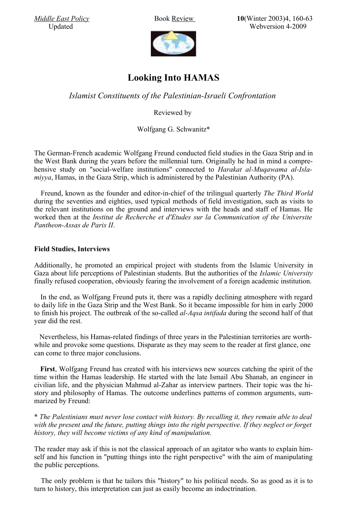*[Middle East Policy](http://www.mepc.org/journal/archive.asp)* Book [Review](http://findarticles.com/p/articles/mi_qa5400/is_200301/ai_n21341677/pg_3) **10**(Winter 2003)4, 160-63 Updated Webversion 4-2009



## **Looking Into HAMAS**

*Islamist Constituents of the Palestinian-Israeli Confrontation*

Reviewed by

Wolfgang G. Schwanitz\*

The German-French academic Wolfgang Freund conducted field studies in the Gaza Strip and in the West Bank during the years before the millennial turn. Originally he had in mind a comprehensive study on "social-welfare institutions" connected to *Harakat al-Muqawama al-Islamiyya*, Hamas, in the Gaza Strip, which is administered by the Palestinian Authority (PA).

Freund, known as the founder and editor-in-chief of the trilingual quarterly *The Third World* during the seventies and eighties, used typical methods of field investigation, such as visits to the relevant institutions on the ground and interviews with the heads and staff of Hamas. He worked then at the *Institut de Recherche et d'Etudes sur la Communication of the Universite Pantheon-Assas de Paris II*.

## **Field Studies, Interviews**

Additionally, he promoted an empirical project with students from the Islamic University in Gaza about life perceptions of Palestinian students. But the authorities of the *Islamic University* finally refused cooperation, obviously fearing the involvement of a foreign academic institution.

In the end, as Wolfgang Freund puts it, there was a rapidly declining atmosphere with regard to daily life in the Gaza Strip and the West Bank. So it became impossible for him in early 2000 to finish his project. The outbreak of the so-called *al-Aqsa intifada* during the second half of that year did the rest.

 Nevertheless, his Hamas-related findings of three years in the Palestinian territories are worthwhile and provoke some questions. Disparate as they may seem to the reader at first glance, one can come to three major conclusions.

**First**, Wolfgang Freund has created with his interviews new sources catching the spirit of the time within the Hamas leadership. He started with the late Ismail Abu Shanab, an engineer in civilian life, and the physician Mahmud al-Zahar as interview partners. Their topic was the history and philosophy of Hamas. The outcome underlines patterns of common arguments, summarized by Freund:

\* *The Palestinians must never lose contact with history. By recalling it, they remain able to deal with the present and the future, putting things into the right perspective. If they neglect or forget history, they will become victims of any kind of manipulation.*

The reader may ask if this is not the classical approach of an agitator who wants to explain himself and his function in "putting things into the right perspective" with the aim of manipulating the public perceptions.

The only problem is that he tailors this "history" to his political needs. So as good as it is to turn to history, this interpretation can just as easily become an indoctrination.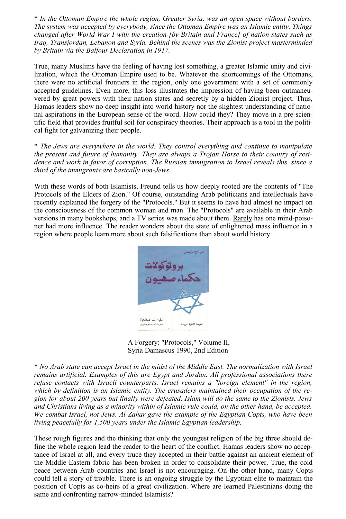\* *In the Ottoman Empire the whole region, Greater Syria, was an open space without borders. The system was accepted by everybody, since the Ottoman Empire was an Islamic entity. Things changed after World War I with the creation [by Britain and France] of nation states such as Iraq, Transjordan, Lebanon and Syria. Behind the scenes was the Zionist project masterminded by Britain via the Balfour Declaration in 1917.* 

True, many Muslims have the feeling of having lost something, a greater Islamic unity and civilization, which the Ottoman Empire used to be. Whatever the shortcomings of the Ottomans, there were no artificial frontiers in the region, only one government with a set of commonly accepted guidelines. Even more, this loss illustrates the impression of having been outmaneuvered by great powers with their nation states and secretly by a hidden Zionist project. Thus, Hamas leaders show no deep insight into world history nor the slightest understanding of national aspirations in the European sense of the word. How could they? They move in a pre-scientific field that provides fruitful soil for conspiracy theories. Their approach is a tool in the political fight for galvanizing their people.

\* *The Jews are everywhere in the world. They control everything and continue to manipulate the present and future of humanity. They are always a Trojan Horse to their country of residence and work in favor of corruption. The Russian immigration to Israel reveals this, since a third of the immigrants are basically non-Jews.* 

With these words of both Islamists, Freund tells us how deeply rooted are the contents of "The Protocols of the Elders of Zion." Of course, outstanding Arab politicians and intellectuals have recently explained the forgery of the "Protocols." But it seems to have had almost no impact on the consciousness of the common woman and man. The "Protocols" are available in their Arab versions in many bookshops, and a TV series was made about them. [Rarely](http://www.trafoberlin.de/pdf-Neu/Amin al-Husaini and the Holocaust.pdf) has one mind-poisoner had more influence. The reader wonders about the state of enlightened mass influence in a region where people learn more about such falsifications than about world history.



 A Forgery: "Protocols," Volume II, Syria Damascus 1990, 2nd Edition

\* *No Arab state can accept Israel in the midst of the Middle East. The normalization with Israel remains artificial. Examples of this are Egypt and Jordan. All professional associations there refuse contacts with Israeli counterparts. Israel remains a "foreign element" in the region, which by definition is an Islamic entity. The crusaders maintained their occupation of the region for about 200 years but finally were defeated. Islam will do the same to the Zionists. Jews and Christians living as a minority within of Islamic rule could, on the other hand, be accepted. We combat Israel, not Jews. Al-Zahar gave the example of the Egyptian Copts, who have been living peacefully for 1,500 years under the Islamic Egyptian leadership.* 

These rough figures and the thinking that only the youngest religion of the big three should define the whole region lead the reader to the heart of the conflict. Hamas leaders show no acceptance of Israel at all, and every truce they accepted in their battle against an ancient element of the Middle Eastern fabric has been broken in order to consolidate their power. True, the cold peace between Arab countries and Israel is not encouraging. On the other hand, many Copts could tell a story of trouble. There is an ongoing struggle by the Egyptian elite to maintain the position of Copts as co-heirs of a great civilization. Where are learned Palestinians doing the same and confronting narrow-minded Islamists?